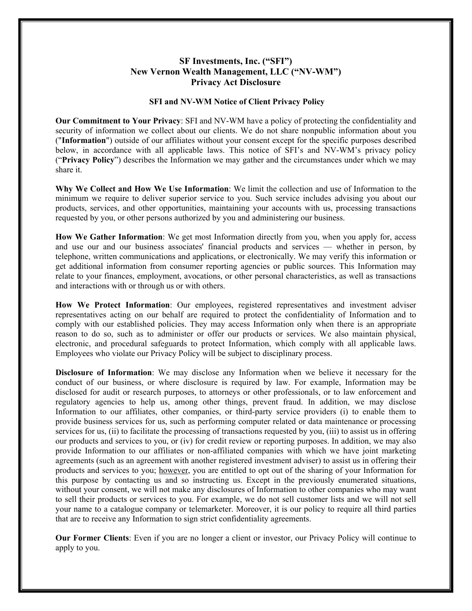## **SF Investments, Inc. ("SFI") New Vernon Wealth Management, LLC ("NV-WM") Privacy Act Disclosure**

## **SFI and NV-WM Notice of Client Privacy Policy**

**Our Commitment to Your Privacy**: SFI and NV-WM have a policy of protecting the confidentiality and security of information we collect about our clients. We do not share nonpublic information about you ("**Information**") outside of our affiliates without your consent except for the specific purposes described below, in accordance with all applicable laws. This notice of SFI's and NV-WM's privacy policy ("**Privacy Policy**") describes the Information we may gather and the circumstances under which we may share it.

**Why We Collect and How We Use Information**: We limit the collection and use of Information to the minimum we require to deliver superior service to you. Such service includes advising you about our products, services, and other opportunities, maintaining your accounts with us, processing transactions requested by you, or other persons authorized by you and administering our business.

**How We Gather Information**: We get most Information directly from you, when you apply for, access and use our and our business associates' financial products and services — whether in person, by telephone, written communications and applications, or electronically. We may verify this information or get additional information from consumer reporting agencies or public sources. This Information may relate to your finances, employment, avocations, or other personal characteristics, as well as transactions and interactions with or through us or with others.

How We Protect Information: Our employees, registered representatives and investment adviser representatives acting on our behalf are required to protect the confidentiality of Information and to comply with our established policies. They may access Information only when there is an appropriate reason to do so, such as to administer or offer our products or services. We also maintain physical, electronic, and procedural safeguards to protect Information, which comply with all applicable laws. Employees who violate our Privacy Policy will be subject to disciplinary process.

**Disclosure of Information**: We may disclose any Information when we believe it necessary for the conduct of our business, or where disclosure is required by law. For example, Information may be disclosed for audit or research purposes, to attorneys or other professionals, or to law enforcement and regulatory agencies to help us, among other things, prevent fraud. In addition, we may disclose Information to our affiliates, other companies, or third-party service providers (i) to enable them to provide business services for us, such as performing computer related or data maintenance or processing services for us, (ii) to facilitate the processing of transactions requested by you, (iii) to assist us in offering our products and services to you, or (iv) for credit review or reporting purposes. In addition, we may also provide Information to our affiliates or non-affiliated companies with which we have joint marketing agreements (such as an agreement with another registered investment adviser) to assist us in offering their products and services to you; however, you are entitled to opt out of the sharing of your Information for this purpose by contacting us and so instructing us. Except in the previously enumerated situations, without your consent, we will not make any disclosures of Information to other companies who may want to sell their products or services to you. For example, we do not sell customer lists and we will not sell your name to a catalogue company or telemarketer. Moreover, it is our policy to require all third parties that are to receive any Information to sign strict confidentiality agreements.

**Our Former Clients**: Even if you are no longer a client or investor, our Privacy Policy will continue to apply to you.